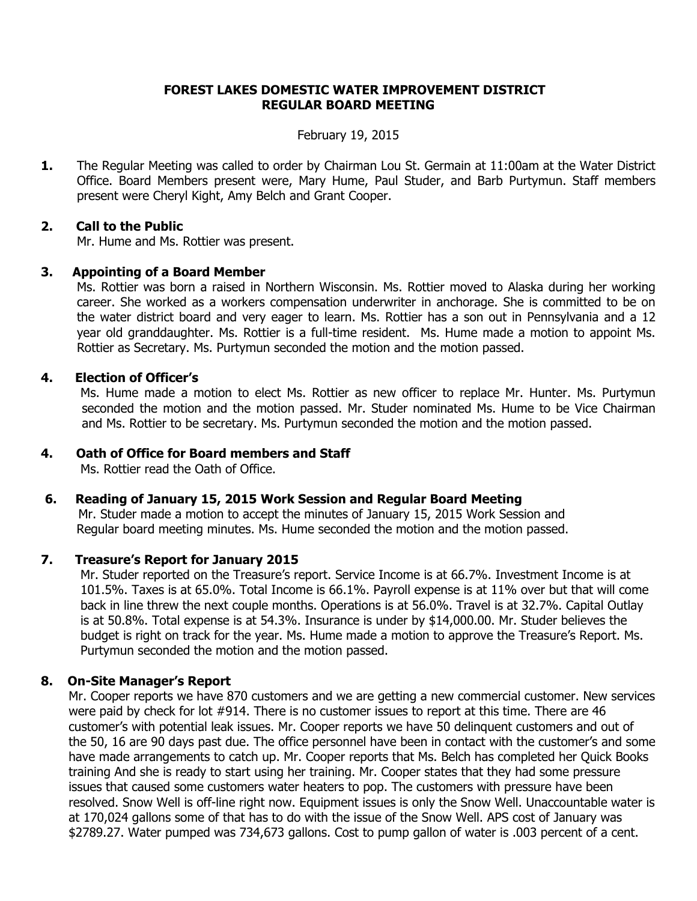## **FOREST LAKES DOMESTIC WATER IMPROVEMENT DISTRICT REGULAR BOARD MEETING**

#### February 19, 2015

**1.** The Regular Meeting was called to order by Chairman Lou St. Germain at 11:00am at the Water District Office. Board Members present were, Mary Hume, Paul Studer, and Barb Purtymun. Staff members present were Cheryl Kight, Amy Belch and Grant Cooper.

## **2. Call to the Public**

Mr. Hume and Ms. Rottier was present.

## **3. Appointing of a Board Member**

Ms. Rottier was born a raised in Northern Wisconsin. Ms. Rottier moved to Alaska during her working career. She worked as a workers compensation underwriter in anchorage. She is committed to be on the water district board and very eager to learn. Ms. Rottier has a son out in Pennsylvania and a 12 year old granddaughter. Ms. Rottier is a full-time resident. Ms. Hume made a motion to appoint Ms. Rottier as Secretary. Ms. Purtymun seconded the motion and the motion passed.

## **4. Election of Officer's**

 Ms. Hume made a motion to elect Ms. Rottier as new officer to replace Mr. Hunter. Ms. Purtymun seconded the motion and the motion passed. Mr. Studer nominated Ms. Hume to be Vice Chairman and Ms. Rottier to be secretary. Ms. Purtymun seconded the motion and the motion passed.

## **4. Oath of Office for Board members and Staff**

Ms. Rottier read the Oath of Office.

#### **6. Reading of January 15, 2015 Work Session and Regular Board Meeting**

Mr. Studer made a motion to accept the minutes of January 15, 2015 Work Session and Regular board meeting minutes. Ms. Hume seconded the motion and the motion passed.

#### **7. Treasure's Report for January 2015**

 Mr. Studer reported on the Treasure's report. Service Income is at 66.7%. Investment Income is at 101.5%. Taxes is at 65.0%. Total Income is 66.1%. Payroll expense is at 11% over but that will come back in line threw the next couple months. Operations is at 56.0%. Travel is at 32.7%. Capital Outlay is at 50.8%. Total expense is at 54.3%. Insurance is under by \$14,000.00. Mr. Studer believes the budget is right on track for the year. Ms. Hume made a motion to approve the Treasure's Report. Ms. Purtymun seconded the motion and the motion passed.

#### **8. On-Site Manager's Report**

 Mr. Cooper reports we have 870 customers and we are getting a new commercial customer. New services were paid by check for lot #914. There is no customer issues to report at this time. There are 46 customer's with potential leak issues. Mr. Cooper reports we have 50 delinquent customers and out of the 50, 16 are 90 days past due. The office personnel have been in contact with the customer's and some have made arrangements to catch up. Mr. Cooper reports that Ms. Belch has completed her Quick Books training And she is ready to start using her training. Mr. Cooper states that they had some pressure issues that caused some customers water heaters to pop. The customers with pressure have been resolved. Snow Well is off-line right now. Equipment issues is only the Snow Well. Unaccountable water is at 170,024 gallons some of that has to do with the issue of the Snow Well. APS cost of January was \$2789.27. Water pumped was 734,673 gallons. Cost to pump gallon of water is .003 percent of a cent.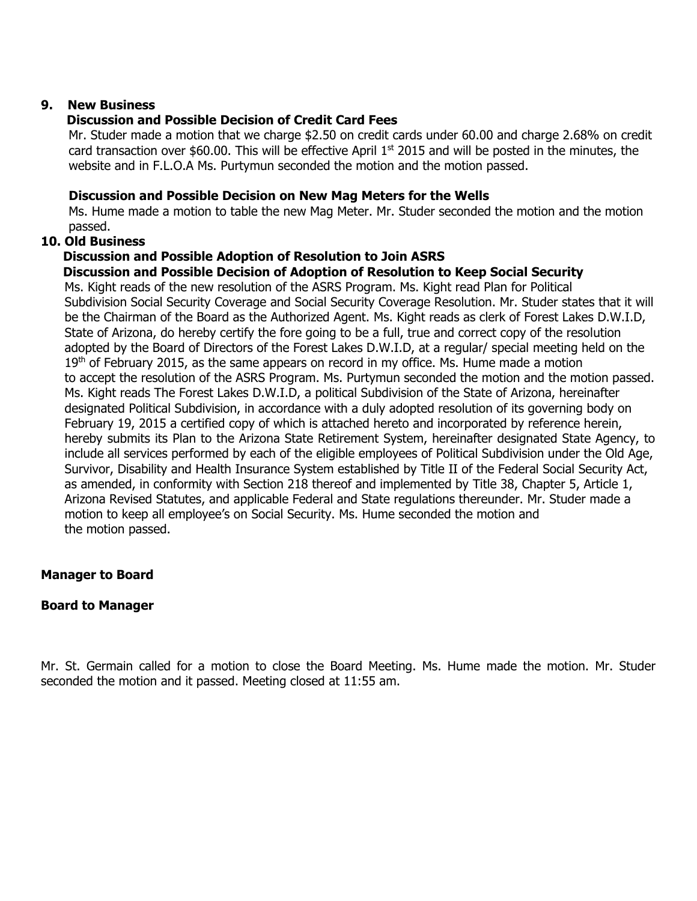#### **9. New Business**

## **Discussion and Possible Decision of Credit Card Fees**

 Mr. Studer made a motion that we charge \$2.50 on credit cards under 60.00 and charge 2.68% on credit card transaction over \$60.00. This will be effective April  $1<sup>st</sup>$  2015 and will be posted in the minutes, the website and in F.L.O.A Ms. Purtymun seconded the motion and the motion passed.

## **Discussion and Possible Decision on New Mag Meters for the Wells**

 Ms. Hume made a motion to table the new Mag Meter. Mr. Studer seconded the motion and the motion passed.

#### **10. Old Business**

## **Discussion and Possible Adoption of Resolution to Join ASRS**

## **Discussion and Possible Decision of Adoption of Resolution to Keep Social Security**

 Ms. Kight reads of the new resolution of the ASRS Program. Ms. Kight read Plan for Political Subdivision Social Security Coverage and Social Security Coverage Resolution. Mr. Studer states that it will be the Chairman of the Board as the Authorized Agent. Ms. Kight reads as clerk of Forest Lakes D.W.I.D, State of Arizona, do hereby certify the fore going to be a full, true and correct copy of the resolution adopted by the Board of Directors of the Forest Lakes D.W.I.D, at a regular/ special meeting held on the  $19<sup>th</sup>$  of February 2015, as the same appears on record in my office. Ms. Hume made a motion to accept the resolution of the ASRS Program. Ms. Purtymun seconded the motion and the motion passed. Ms. Kight reads The Forest Lakes D.W.I.D, a political Subdivision of the State of Arizona, hereinafter designated Political Subdivision, in accordance with a duly adopted resolution of its governing body on February 19, 2015 a certified copy of which is attached hereto and incorporated by reference herein, hereby submits its Plan to the Arizona State Retirement System, hereinafter designated State Agency, to include all services performed by each of the eligible employees of Political Subdivision under the Old Age, Survivor, Disability and Health Insurance System established by Title II of the Federal Social Security Act, as amended, in conformity with Section 218 thereof and implemented by Title 38, Chapter 5, Article 1, Arizona Revised Statutes, and applicable Federal and State regulations thereunder. Mr. Studer made a motion to keep all employee's on Social Security. Ms. Hume seconded the motion and the motion passed.

#### **Manager to Board**

#### **Board to Manager**

Mr. St. Germain called for a motion to close the Board Meeting. Ms. Hume made the motion. Mr. Studer seconded the motion and it passed. Meeting closed at 11:55 am.